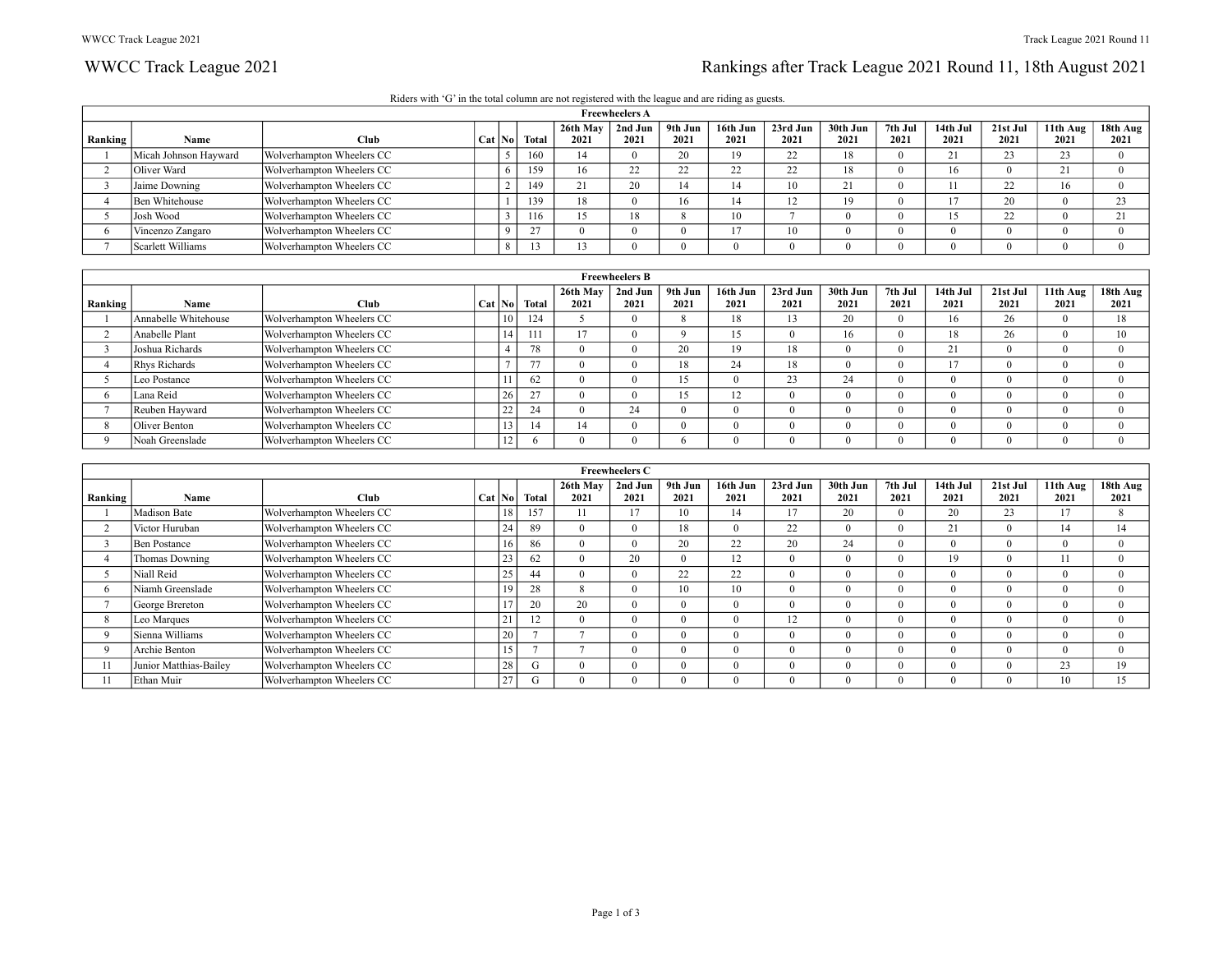# WWCC Track League 2021 2021 Rankings after Track League 2021 Round 11, 18th August 2021

|  |  | Riders with 'G' in the total column are not registered with the league and are riding as guests. |
|--|--|--------------------------------------------------------------------------------------------------|
|  |  |                                                                                                  |

|         |                       |                           |          |       |                  | <b>Freewheelers A</b> |                 |                     |                     |                  |                 |                  |                  |                  |                  |
|---------|-----------------------|---------------------------|----------|-------|------------------|-----------------------|-----------------|---------------------|---------------------|------------------|-----------------|------------------|------------------|------------------|------------------|
| Ranking | Name                  | Club                      | Cat   No | Total | 26th May<br>2021 | 2nd Jun<br>2021       | 9th Jun<br>2021 | 16th Jun<br>2021    | 23rd Jun<br>2021    | 30th Jun<br>2021 | 7th Jul<br>2021 | 14th Jul<br>2021 | 21st Jul<br>2021 | 11th Aug<br>2021 | 18th Aug<br>2021 |
|         | Micah Johnson Hayward | Wolverhampton Wheelers CC |          | 160   |                  |                       | 20              | 19                  | $\mathcal{L}$       | 18               |                 |                  | $\sim$<br>43     | 23               |                  |
|         | Oliver Ward           | Wolverhampton Wheelers CC |          | 159   |                  | $\mathcal{L}$<br>∠∠   | $\sim$<br>22    | $\mathcal{L}$<br>∠∠ | $\mathcal{L}$<br>∠∠ | 18               |                 | 16               |                  | 21               |                  |
|         | Jaime Downing         | Wolverhampton Wheelers CC |          | 149   |                  | 20                    | 14              | 14                  | 10                  | 21               |                 |                  | $\mathcal{L}$    | 16               |                  |
|         | Ben Whitehouse        | Wolverhampton Wheelers CC |          | 139   | 18               |                       | 16              | 14                  |                     | 19               |                 |                  | 20               |                  | 23               |
|         | Josh Wood             | Wolverhampton Wheelers CC |          | 116   |                  | 18                    |                 | 10                  |                     |                  |                 |                  | $\sim$<br>∠∠     |                  | 21<br>$\sim$ 1   |
|         | Vincenzo Zangaro      | Wolverhampton Wheelers CC |          |       |                  |                       |                 |                     | 10                  |                  |                 |                  |                  |                  |                  |
|         | Scarlett Williams     | Wolverhampton Wheelers CC |          |       |                  |                       |                 |                     |                     |                  |                 |                  |                  |                  |                  |

|         |                      |                           |              |        |                  | <b>Freewheelers B</b> |                 |                  |                  |                  |                 |                  |                  |                  |                  |
|---------|----------------------|---------------------------|--------------|--------|------------------|-----------------------|-----------------|------------------|------------------|------------------|-----------------|------------------|------------------|------------------|------------------|
| Ranking | <b>Name</b>          | Club                      | Cat No       | Total  | 26th May<br>2021 | 2nd Jun<br>2021       | 9th Jun<br>2021 | 16th Jun<br>2021 | 23rd Jun<br>2021 | 30th Jun<br>2021 | 7th Jul<br>2021 | 14th Jul<br>2021 | 21st Jul<br>2021 | 11th Aug<br>2021 | 18th Aug<br>2021 |
|         |                      |                           |              |        |                  |                       |                 |                  |                  |                  |                 |                  |                  |                  |                  |
|         | Annabelle Whitehouse | Wolverhampton Wheelers CC | 10           | 124    |                  |                       | δ.              | 18               | 13               | 20               |                 |                  | 26               |                  | 18               |
|         | Anabelle Plant       | Wolverhampton Wheelers CC | 14           |        | $\sim$           |                       |                 | 15               |                  | 16               |                 |                  | 26               |                  | 10               |
|         | Joshua Richards      | Wolverhampton Wheelers CC |              |        |                  |                       | 20              | 19               | 18               |                  |                 | 21<br>$\sim$ 1   |                  |                  |                  |
|         | Rhys Richards        | Wolverhampton Wheelers CC |              | 77     |                  |                       | 18              | 24               | 18               |                  |                 |                  |                  |                  |                  |
|         | Leo Postance         | Wolverhampton Wheelers CC |              | 62     |                  |                       | 15              |                  | 23               | 24               |                 |                  |                  |                  |                  |
|         | Lana Reid            | Wolverhampton Wheelers CC | 26           | $\sim$ |                  |                       | 15              | 12               |                  |                  |                 |                  |                  |                  |                  |
|         | Reuben Hayward       | Wolverhampton Wheelers CC | $\sim$<br>22 | 24     |                  | 24                    |                 | $^{\circ}$       |                  |                  |                 |                  |                  |                  |                  |
|         | Oliver Benton        | Wolverhampton Wheelers CC |              | -14    | 14               |                       |                 |                  |                  |                  |                 |                  |                  |                  |                  |
|         | Noah Greenslade      | Wolverhampton Wheelers CC | 12           |        |                  |                       |                 | $\Omega$         |                  |                  |                 |                  |                  |                  |                  |

|         |                        |                           |        |    |              |                  | <b>Freewheelers C</b> |                 |                  |                  |                  |                 |                  |                  |                  |                  |
|---------|------------------------|---------------------------|--------|----|--------------|------------------|-----------------------|-----------------|------------------|------------------|------------------|-----------------|------------------|------------------|------------------|------------------|
| Ranking | Name                   | <b>Club</b>               | Cat No |    | <b>Total</b> | 26th May<br>2021 | 2nd Jun<br>2021       | 9th Jun<br>2021 | 16th Jun<br>2021 | 23rd Jun<br>2021 | 30th Jun<br>2021 | 7th Jul<br>2021 | 14th Jul<br>2021 | 21st Jul<br>2021 | 11th Aug<br>2021 | 18th Aug<br>2021 |
|         | Madison Bate           | Wolverhampton Wheelers CC |        |    | 157          |                  |                       | 10              | 14               |                  | 20               | $\Omega$        | 20               | 23               | 17               |                  |
|         | Victor Huruban         | Wolverhampton Wheelers CC |        | 24 | 89           |                  |                       | 18              | $\theta$         | 22               |                  | $\Omega$        |                  |                  |                  | 14               |
|         | Ben Postance           | Wolverhampton Wheelers CC |        |    | 86           |                  |                       | 20              | 22               | 20               | 24               | $\theta$        |                  |                  | $^{\circ}$       |                  |
|         | Thomas Downing         | Wolverhampton Wheelers CC |        | 23 | 62           |                  | 20                    | $\theta$        | 12               | $\Omega$         |                  | $\theta$        | 19               |                  |                  |                  |
|         | Niall Reid             | Wolverhampton Wheelers CC |        | 25 | 44           |                  |                       | 22              | 22               | $\Omega$         |                  | $\theta$        |                  |                  | $^{\circ}$       |                  |
|         | Niamh Greenslade       | Wolverhampton Wheelers CC |        |    | 28           |                  |                       | 10              | 10               | $\Omega$         |                  | $\theta$        |                  |                  | $\Omega$         |                  |
|         | George Brereton        | Wolverhampton Wheelers CC |        |    | 20           | 20               |                       | $\Omega$        | $\theta$         | $\Omega$         |                  | $\theta$        |                  |                  | $\Omega$         |                  |
|         | Leo Marques            | Wolverhampton Wheelers CC |        | 41 |              |                  |                       | $\Omega$        | $\Omega$         | 12               |                  | $\theta$        |                  |                  | $^{\circ}$       |                  |
|         | Sienna Williams        | Wolverhampton Wheelers CC |        | 20 |              |                  |                       | $\theta$        | $^{0}$           | $\Omega$         |                  | $\Omega$        |                  |                  | $\Omega$         |                  |
|         | Archie Benton          | Wolverhampton Wheelers CC |        |    |              |                  |                       |                 | $^{0}$           | $\Omega$         |                  | $\Omega$        |                  |                  | $^{\circ}$       |                  |
|         | Junior Matthias-Bailey | Wolverhampton Wheelers CC |        | 28 | G            |                  |                       | $\Omega$        | $\Omega$         | $\theta$         |                  | $\Omega$        |                  |                  | 23               | 19               |
|         | Ethan Muir             | Wolverhampton Wheelers CC |        | 27 |              |                  |                       |                 | $^{0}$           | $\Omega$         |                  | $\Omega$        |                  |                  | 10               | 15               |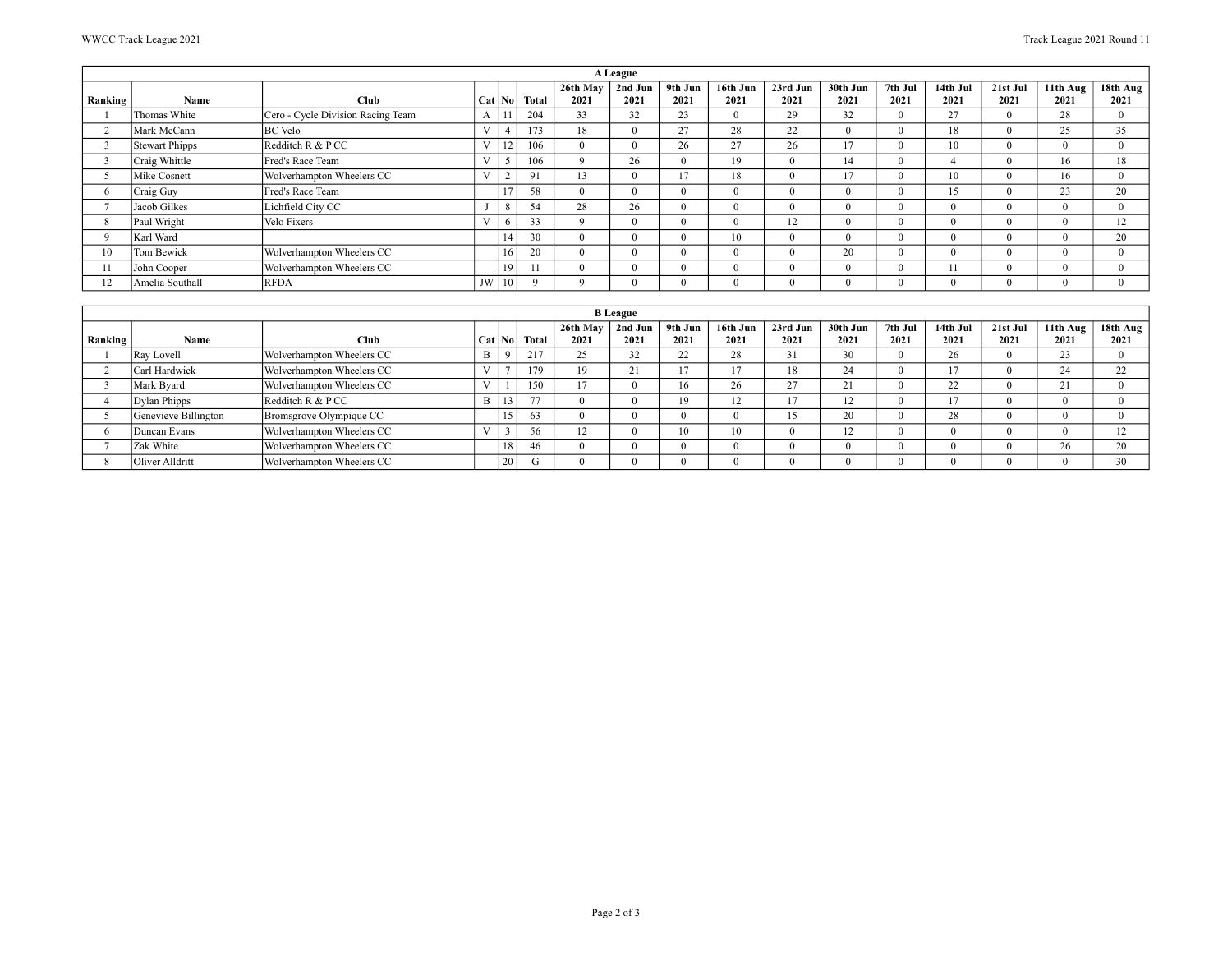|         |                 |                                   |                   |        |              |                  | A League        |                                 |                  |                  |                  |                 |                  |                  |                  |                                 |
|---------|-----------------|-----------------------------------|-------------------|--------|--------------|------------------|-----------------|---------------------------------|------------------|------------------|------------------|-----------------|------------------|------------------|------------------|---------------------------------|
| Ranking | Name            | Club                              |                   | Cat No | <b>Total</b> | 26th May<br>2021 | 2nd Jun<br>2021 | 9th Jun<br>2021                 | 16th Jun<br>2021 | 23rd Jun<br>2021 | 30th Jun<br>2021 | 7th Jul<br>2021 | 14th Jul<br>2021 | 21st Jul<br>2021 | 11th Aug<br>2021 | $18th$ Aug <sup>1</sup><br>2021 |
|         | Thomas White    | Cero - Cycle Division Racing Team | А                 |        | 204          | 33               | 32              | 23                              | $\Omega$         | 29               | 32               | $\Omega$        | 27               |                  | 28               | $\Omega$                        |
|         | Mark McCann     | <b>BC</b> Velo                    | V                 |        | 173          | 18               |                 | 27                              | 28               | 22               |                  | $\Omega$        | 18               |                  | 25               | 35                              |
|         | Stewart Phipps  | Redditch R & P CC                 | $\mathbf{V}$      | 14     | 106          |                  |                 | 26                              | 27               | 26               | 17               | $\Omega$        | 10               |                  | $\Omega$         | $\Omega$                        |
|         | Craig Whittle   | Fred's Race Team                  | $\mathbf{V}$      |        | 106          |                  | 26              |                                 | 19               | $\Omega$         | 14               | $\Omega$        |                  |                  |                  | 18                              |
|         | Mike Cosnett    | Wolverhampton Wheelers CC         | <b>T</b> T        |        | 91           | 13               |                 | 1 <sub>7</sub><br>$\frac{1}{2}$ | 18               | $\Omega$         | 17               | $\Omega$        | 10               |                  |                  |                                 |
| n       | Craig Guy       | Fred's Race Team                  |                   |        | 58           |                  |                 |                                 | $\Omega$         | $\Omega$         |                  | $\Omega$        | 15               |                  | 23               | 20                              |
|         | Jacob Gilkes    | Lichfield City CC                 |                   |        | 54           | 28               | 26              |                                 | $\theta$         | $\Omega$         |                  | $\Omega$        |                  |                  | $\Omega$         |                                 |
| 8       | Paul Wright     | Velo Fixers                       | <b>x</b> <i>x</i> |        | 33           |                  | $\Omega$        |                                 | $^{\circ}$       | 12               |                  | $^{\circ}$      |                  |                  | $^{\circ}$       | 12                              |
| Q       | Karl Ward       |                                   |                   | 14     | 30           |                  | $\Omega$        |                                 | 10               | $\Omega$         |                  | $\Omega$        |                  |                  | $^{\circ}$       | 20                              |
| 10      | Tom Bewick      | Wolverhampton Wheelers CC         |                   | 16     | 20           |                  | $\Omega$        |                                 | $\Omega$         | $\Omega$         | 20               | $\Omega$        |                  |                  | $^{\circ}$       |                                 |
| 11      | John Cooper     | Wolverhampton Wheelers CC         |                   | 19     |              |                  | $\Omega$        |                                 | $\Omega$         | $\Omega$         |                  | $\Omega$        | 11               |                  | $\Omega$         |                                 |
|         | Amelia Southall | RFDA                              | JW                | 10     |              |                  | $\Omega$        |                                 | $\Omega$         | $\Omega$         |                  | $\Omega$        |                  |                  | $\Omega$         |                                 |

|         |                      |                           |              |    |                |                    | <b>B</b> League    |                 |                  |                  |                  |                 |                  |                  |                            |                          |
|---------|----------------------|---------------------------|--------------|----|----------------|--------------------|--------------------|-----------------|------------------|------------------|------------------|-----------------|------------------|------------------|----------------------------|--------------------------|
| Ranking | Name                 | Club                      | Cat   No     |    | Total          | 26th May<br>2021   | 2nd Jun<br>2021    | 9th Jun<br>2021 | 16th Jun<br>2021 | 23rd Jun<br>2021 | 30th Jun<br>2021 | 7th Jul<br>2021 | 14th Jul<br>2021 | 21st Jul<br>2021 | 11th Aug<br>2021           | 18th Aug $\vert$<br>2021 |
|         | Ray Lovell           | Wolverhampton Wheelers CC | B            |    | 217            | 25                 | 32                 | $\gamma$<br>∠∠  | 28               | 31               | 30               |                 | 26               |                  | 23                         |                          |
|         | Carl Hardwick        | Wolverhampton Wheelers CC | $\mathbf{V}$ |    | 179            | 19                 | $\sim$<br>$\sim$ 1 | $\sim$          |                  | 18               | 24               |                 |                  |                  | 24                         | 22                       |
|         | Mark Byard           | Wolverhampton Wheelers CC | $\mathbf{v}$ |    | 150            | 17                 |                    | 16              | 26               | 27               | 21               |                 | $\gamma$         |                  | $^{\circ}$ 1<br>$\angle 1$ |                          |
|         | Dylan Phipps         | Redditch R & P CC         | $\mathbf{B}$ |    | $\overline{a}$ |                    |                    | 19              | 14               |                  | 1 <sub>2</sub>   |                 | 1 <sub>7</sub>   |                  |                            |                          |
|         | Genevieve Billington | Bromsgrove Olympique CC   |              | "  | 63             |                    |                    |                 |                  | 15<br>$\cdot$    | 20               |                 | 28               |                  |                            |                          |
|         | Duncan Evans         | Wolverhampton Wheelers CC | <b>TT</b>    |    |                | $\mathbf{1}$<br>12 |                    | 10              | 10               |                  | 1 <sub>2</sub>   |                 |                  |                  |                            | 12<br>14                 |
|         | Zak White            | Wolverhampton Wheelers CC |              |    |                |                    |                    |                 |                  |                  |                  |                 |                  |                  | 26                         | 20                       |
|         | Oliver Alldritt      | Wolverhampton Wheelers CC |              | 20 |                |                    |                    |                 |                  |                  |                  |                 |                  |                  |                            | 30                       |